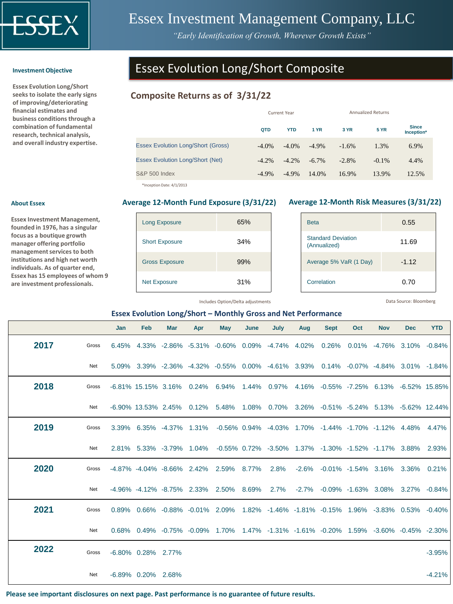

# Essex Investment Management Company, LLC

*"Early Identification of Growth, Wherever Growth Exists"*

#### **Investment Objective**

**About Essex**

**Essex Evolution Long/Short seeks to isolate the early signs of improving/deteriorating financial estimates and business conditions through a combination of fundamental research, technical analysis, and overall industry expertise.** 

**Essex Investment Management, founded in 1976, has a singular focus as a boutique growth manager offering portfolio management services to both institutions and high net worth individuals. As of quarter end, Essex has 15 employees of whom 9 are investment professionals.** 

# Essex Evolution Long/Short Composite

# **Composite Returns as of 3/31/22**

|                                           |          | <b>Current Year</b> |          | <b>Annualized Returns</b> |             |                            |
|-------------------------------------------|----------|---------------------|----------|---------------------------|-------------|----------------------------|
|                                           | QTD      | <b>YTD</b>          | 1 YR     | 3 YR                      | <b>5 YR</b> | <b>Since</b><br>Inception* |
| <b>Essex Evolution Long/Short (Gross)</b> | $-4.0\%$ | $-4.0\%$            | $-4.9\%$ | $-1.6%$                   | 1.3%        | 6.9%                       |
| <b>Essex Evolution Long/Short (Net)</b>   | $-4.2%$  | $-4.2\%$            | $-6.7\%$ | $-2.8%$                   | $-0.1\%$    | 4.4%                       |
| <b>S&amp;P 500 Index</b>                  | $-4.9\%$ | $-4.9\%$            | 14.0%    | 16.9%                     | 13.9%       | 12.5%                      |

\*Inception Date: 4/1/2013

| <b>Long Exposure</b>  | 65% |
|-----------------------|-----|
| <b>Short Exposure</b> | 34% |
| <b>Gross Exposure</b> | 99% |
| <b>Net Exposure</b>   | 31% |

#### **Average 12-Month Fund Exposure (3/31/22) Average 12-Month Risk Measures (3/31/22)**

| <b>Beta</b>                               | 0.55    |
|-------------------------------------------|---------|
| <b>Standard Deviation</b><br>(Annualized) | 11.69   |
| Average 5% VaR (1 Day)                    | $-1.12$ |
| Correlation                               | 0.70    |

Includes Option/Delta adjustments

Data Source: Bloomberg

#### **Essex Evolution Long/Short – Monthly Gross and Net Performance**

|      |       | Jan | Feb                | <b>Mar</b> | Apr | May                                                                                                                        | June | July | Aug | <b>Sept</b> | Oct | <b>Nov</b> | <b>Dec</b> | <b>YTD</b> |
|------|-------|-----|--------------------|------------|-----|----------------------------------------------------------------------------------------------------------------------------|------|------|-----|-------------|-----|------------|------------|------------|
| 2017 | Gross |     |                    |            |     | $6.45\%$ $4.33\%$ $-2.86\%$ $-5.31\%$ $-0.60\%$ $0.09\%$ $-4.74\%$ $4.02\%$ $0.26\%$ $0.01\%$ $-4.76\%$ $3.10\%$ $-0.84\%$ |      |      |     |             |     |            |            |            |
|      | Net   |     |                    |            |     | 5.09% 3.39% -2.36% -4.32% -0.55% 0.00% -4.61% 3.93% 0.14% -0.07% -4.84% 3.01% -1.84%                                       |      |      |     |             |     |            |            |            |
| 2018 | Gross |     |                    |            |     | -6.81% 15.15% 3.16% 0.24% 6.94% 1.44% 0.97% 4.16% -0.55% -7.25% 6.13% -6.52% 15.85%                                        |      |      |     |             |     |            |            |            |
|      | Net   |     |                    |            |     | -6.90% 13.53% 2.45% 0.12% 5.48% 1.08% 0.70% 3.26% -0.51% -5.24% 5.13% -5.62% 12.44%                                        |      |      |     |             |     |            |            |            |
| 2019 | Gross |     |                    |            |     | 3.39% 6.35% -4.37% 1.31% -0.56% 0.94% -4.03% 1.70% -1.44% -1.70% -1.12% 4.48% 4.47%                                        |      |      |     |             |     |            |            |            |
|      | Net   |     |                    |            |     | 2.81% 5.33% -3.79% 1.04% -0.55% 0.72% -3.50% 1.37% -1.30% -1.52% -1.17% 3.88% 2.93%                                        |      |      |     |             |     |            |            |            |
| 2020 | Gross |     |                    |            |     | -4.87% -4.04% -8.66% 2.42% 2.59% 8.77% 2.8% -2.6% -0.01% -1.54% 3.16% 3.36% 0.21%                                          |      |      |     |             |     |            |            |            |
|      | Net   |     |                    |            |     | -4.96% -4.12% -8.75% 2.33% 2.50% 8.69% 2.7% -2.7% -0.09% -1.63% 3.08% 3.27% -0.84%                                         |      |      |     |             |     |            |            |            |
| 2021 | Gross |     |                    |            |     | $0.89\%$ $0.66\%$ $-0.88\%$ $-0.01\%$ 2.09% 1.82% -1.46% -1.81% -0.15% 1.96% -3.83% 0.53% -0.40%                           |      |      |     |             |     |            |            |            |
|      | Net   |     |                    |            |     | $0.68\%$ $0.49\%$ $-0.75\%$ $-0.09\%$ 1.70% 1.47% $-1.31\%$ $-1.61\%$ $-0.20\%$ 1.59% $-3.60\%$ $-0.45\%$ $-2.30\%$        |      |      |     |             |     |            |            |            |
| 2022 | Gross |     | -6.80% 0.28% 2.77% |            |     |                                                                                                                            |      |      |     |             |     |            |            | $-3.95%$   |
|      | Net   |     | -6.89% 0.20% 2.68% |            |     |                                                                                                                            |      |      |     |             |     |            |            | $-4.21%$   |

**Please see important disclosures on next page. Past performance is no guarantee of future results.**